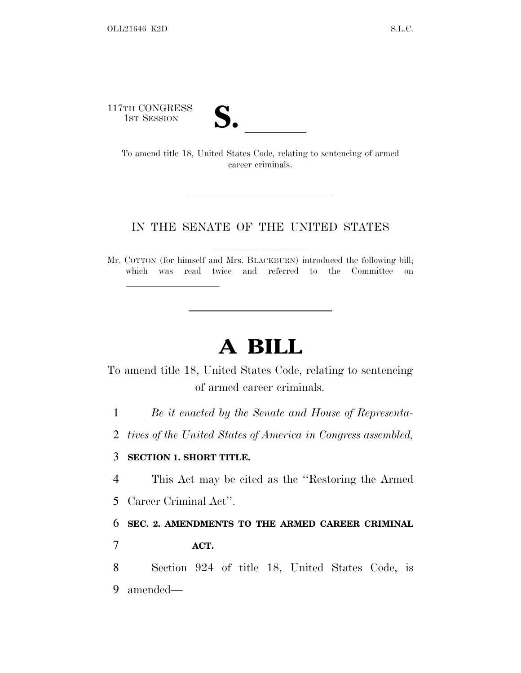117TH CONGRESS

TH CONGRESS<br>
1ST SESSION<br>
To amend title 18, United States Code, relating to sentencing of armed career criminals.

## IN THE SENATE OF THE UNITED STATES

Mr. COTTON (for himself and Mrs. BLACKBURN) introduced the following bill; which was read twice and referred to the Committee on

## **A BILL**

To amend title 18, United States Code, relating to sentencing of armed career criminals.

1 *Be it enacted by the Senate and House of Representa-*

2 *tives of the United States of America in Congress assembled,*

## 3 **SECTION 1. SHORT TITLE.**

lla se al consegue de la consegue de la consegue de la consegue de la consegue de la consegue de la consegue d<br>La consegue de la consegue de la consegue de la consegue de la consegue de la consegue de la consegue de la co

4 This Act may be cited as the ''Restoring the Armed

5 Career Criminal Act''.

6 **SEC. 2. AMENDMENTS TO THE ARMED CAREER CRIMINAL**

7 **ACT.**

8 Section 924 of title 18, United States Code, is 9 amended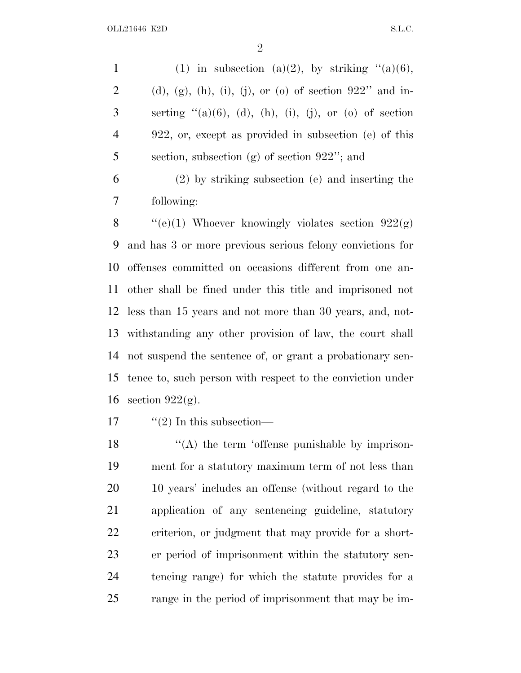1 (1) in subsection (a)(2), by striking  $(2)(6)$ , 2 (d), (g), (h), (i), (j), or (o) of section " and in-3 serting  $\mathfrak{t}(\mathfrak{a})(6)$ , (d), (h), (i), (j), or (o) of section 922, or, except as provided in subsection (e) of this section, subsection (g) of section 922''; and

 (2) by striking subsection (e) and inserting the following:

 $\text{``(e)(1)}$  Whoever knowingly violates section  $922(g)$  and has 3 or more previous serious felony convictions for offenses committed on occasions different from one an- other shall be fined under this title and imprisoned not less than 15 years and not more than 30 years, and, not- withstanding any other provision of law, the court shall not suspend the sentence of, or grant a probationary sen- tence to, such person with respect to the conviction under 16 section  $922(g)$ .

17  $\frac{1}{2}$  In this subsection—

 $\langle (A)$  the term 'offense punishable by imprison- ment for a statutory maximum term of not less than 10 years' includes an offense (without regard to the application of any sentencing guideline, statutory criterion, or judgment that may provide for a short- er period of imprisonment within the statutory sen- tencing range) for which the statute provides for a range in the period of imprisonment that may be im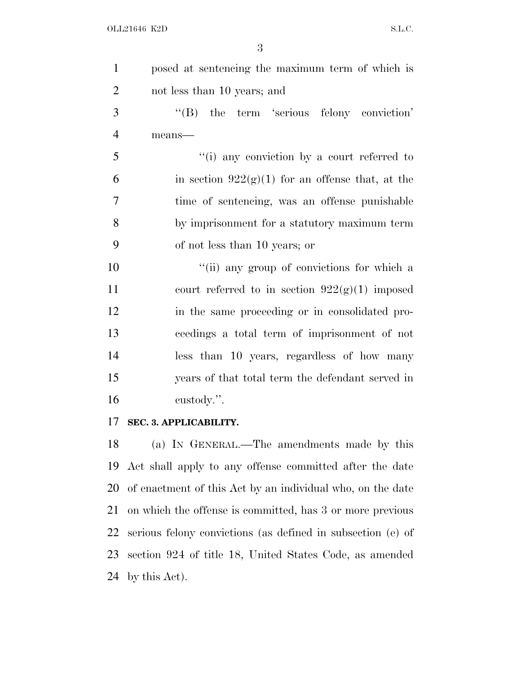| $\mathbf{1}$   | posed at sentencing the maximum term of which is   |
|----------------|----------------------------------------------------|
| $\overline{2}$ | not less than 10 years; and                        |
| 3              | "(B) the term 'serious felony conviction'          |
| $\overline{4}$ | means-                                             |
| 5              | "(i) any conviction by a court referred to         |
| 6              | in section $922(g)(1)$ for an offense that, at the |
| $\overline{7}$ | time of sentencing, was an offense punishable      |
| 8              | by imprisonment for a statutory maximum term       |
| 9              | of not less than 10 years; or                      |
| 10             | "(ii) any group of convictions for which a         |
| 11             | court referred to in section $922(g)(1)$ imposed   |
| 12             | in the same proceeding or in consolidated pro-     |
| 13             | ceedings a total term of imprisonment of not       |
| 14             | less than 10 years, regardless of how many         |
| 15             | years of that total term the defendant served in   |
| 16             | custody.".                                         |
|                | 17 SEC. 3. APPLICABILITY.                          |

 (a) I<sup>N</sup> GENERAL.—The amendments made by this Act shall apply to any offense committed after the date of enactment of this Act by an individual who, on the date on which the offense is committed, has 3 or more previous serious felony convictions (as defined in subsection (e) of section 924 of title 18, United States Code, as amended by this Act).